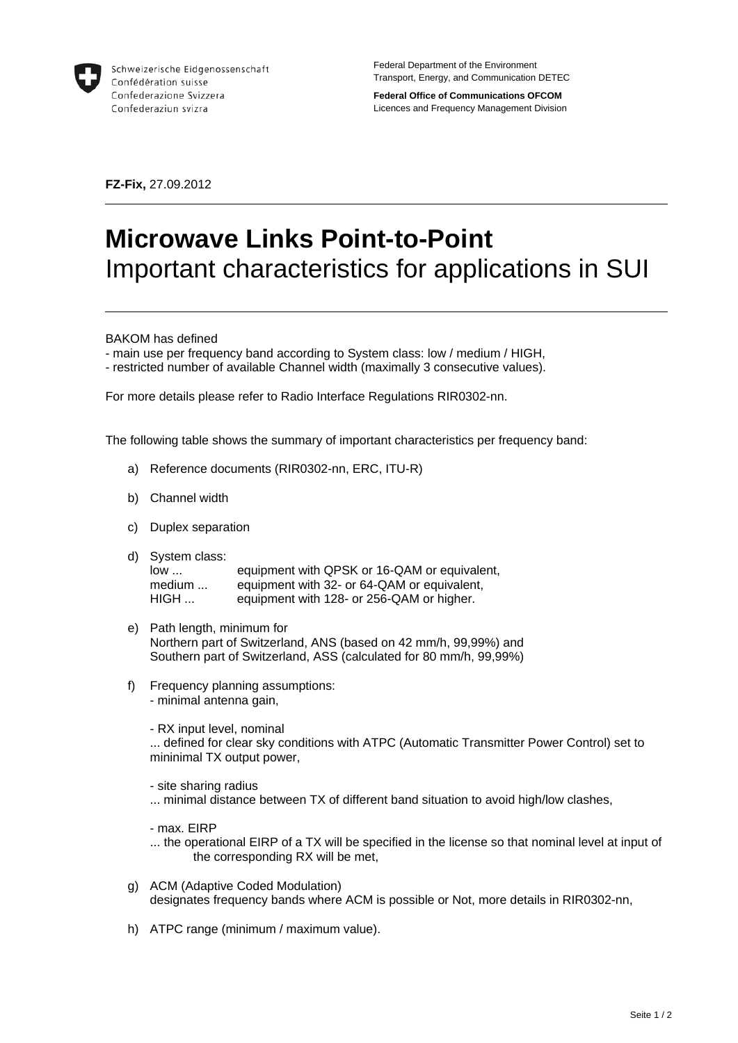

Schweizerische Eidgenossenschaft Confédération suisse Confederazione Svizzera Confederaziun svizra

Federal Department of the Environment Transport, Energy, and Communication DETEC

**Federal Office of Communications OFCOM**  Licences and Frequency Management Division

**FZ-Fix,** 27.09.2012

## **Microwave Links Point-to-Point**  Important characteristics for applications in SUI

BAKOM has defined

- main use per frequency band according to System class: low / medium / HIGH,

- restricted number of available Channel width (maximally 3 consecutive values).

For more details please refer to Radio Interface Regulations RIR0302-nn.

The following table shows the summary of important characteristics per frequency band:

- a) Reference documents (RIR0302-nn, ERC, ITU-R)
- b) Channel width
- c) Duplex separation
- d) System class:

low ... equipment with QPSK or 16-QAM or equivalent, medium ... equipment with 32- or 64-QAM or equivalent,<br>HIGH ... equipment with 128- or 256-QAM or higher. equipment with 128- or 256-QAM or higher.

- e) Path length, minimum for Northern part of Switzerland, ANS (based on 42 mm/h, 99,99%) and Southern part of Switzerland, ASS (calculated for 80 mm/h, 99,99%)
- f) Frequency planning assumptions:
	- minimal antenna gain,

- RX input level, nominal

... defined for clear sky conditions with ATPC (Automatic Transmitter Power Control) set to mininimal TX output power,

- site sharing radius

... minimal distance between TX of different band situation to avoid high/low clashes,

- max. EIRP

- ... the operational EIRP of a TX will be specified in the license so that nominal level at input of the corresponding RX will be met,
- g) ACM (Adaptive Coded Modulation) designates frequency bands where ACM is possible or Not, more details in RIR0302-nn,
- h) ATPC range (minimum / maximum value).